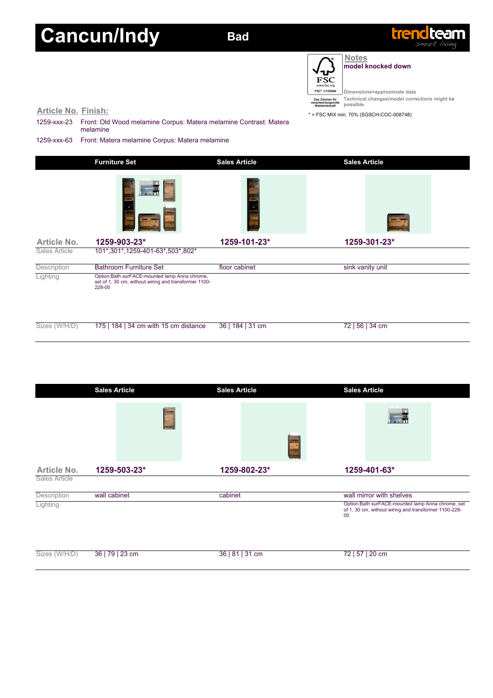## **Cancun/Indy Bad**



 $\overline{\phantom{0}}$ 

้ษ **FSC** FSC\* C105994

**Notes model knocked down**

**Dimensions=approximate data Technical changes/model corrections might be possible.**

| <b>Article No. Finish:</b><br>1259-xxx-23 | Front: Old Wood melamine Corpus: Matera melamine Contrast: Matera                                                | waldwirtschaft<br>pussinia.<br>* = FSC MIX min. 70% (SGSCH-COC-008748) |                      |  |  |
|-------------------------------------------|------------------------------------------------------------------------------------------------------------------|------------------------------------------------------------------------|----------------------|--|--|
|                                           | melamine                                                                                                         |                                                                        |                      |  |  |
| 1259-xxx-63                               | Front: Matera melamine Corpus: Matera melamine                                                                   |                                                                        |                      |  |  |
|                                           | <b>Furniture Set</b>                                                                                             | <b>Sales Article</b>                                                   | <b>Sales Article</b> |  |  |
| Article No.                               | ae R<br>1259-903-23*                                                                                             | 1259-101-23*                                                           | 1259-301-23*         |  |  |
| Sales Article                             | 101*,301*,1259-401-63*,503*,802*                                                                                 |                                                                        |                      |  |  |
| Description                               | <b>Bathroom Furniture Set</b>                                                                                    | floor cabinet                                                          | sink vanity unit     |  |  |
| Lighting                                  | Option:Bath surFACE-mounted lamp Anna chrome,<br>set of 1, 30 cm, without wiring and transformer 1100-<br>228-00 |                                                                        |                      |  |  |

| Sizes (W/H/D) 175   184   34 cm with 15 cm distance 36   184   31 cm | 72   56   34 cm |
|----------------------------------------------------------------------|-----------------|
|                                                                      |                 |

|                    | <b>Sales Article</b> | <b>Sales Article</b> |                 | <b>Sales Article</b> |                                                                                                             |
|--------------------|----------------------|----------------------|-----------------|----------------------|-------------------------------------------------------------------------------------------------------------|
|                    |                      |                      |                 |                      |                                                                                                             |
| <b>Article No.</b> | 1259-503-23*         |                      | 1259-802-23*    |                      | 1259-401-63*                                                                                                |
| Sales Article      |                      |                      |                 |                      |                                                                                                             |
| Description        | wall cabinet         | cabinet              |                 |                      | wall mirror with shelves                                                                                    |
| Lighting           |                      |                      |                 | 00                   | Option: Bath surFACE-mounted lamp Anna chrome, set<br>of 1, 30 cm, without wiring and transformer 1100-228- |
| Sizes (W/H/D)      | 36   79   23 cm      |                      | 36   81   31 cm |                      | 72   57   20 cm                                                                                             |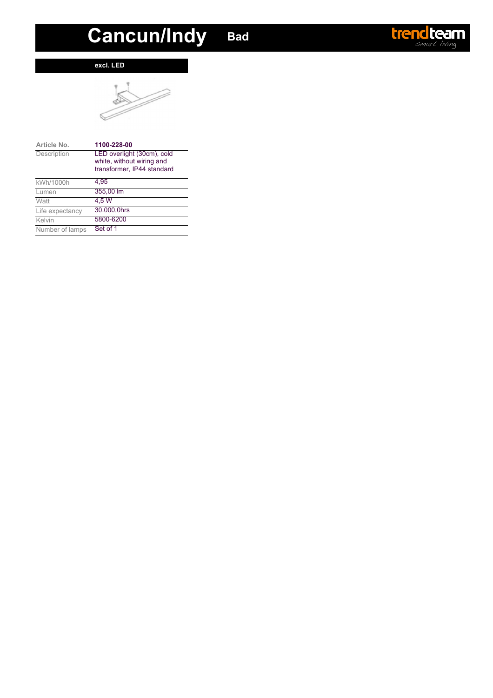# **Cancun/Indy Bad**

### **excl. LED**



| Article No.     | 1100-228-00                |
|-----------------|----------------------------|
| Description     | LED overlight (30cm), cold |
|                 | white, without wiring and  |
|                 | transformer, IP44 standard |
| kWh/1000h       | 4.95                       |
| Lumen           | 355,00 lm                  |
| Watt            | 4.5W                       |
| Life expectancy | 30.000.0hrs                |
| Kelvin          | 5800-6200                  |
| Number of lamps | Set of 1                   |

### **trend team**